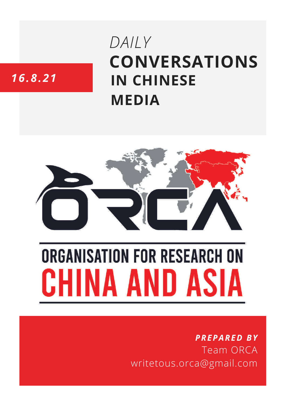# **CONVERSATIONS IN CHINESE MEDIA** *DAILY*

# *16.8.21*



# **ORGANISATION FOR RESEARCH ON** HINA AND ASIA

## *PREPARED BY* Team ORCA writetous.orca@gmail.com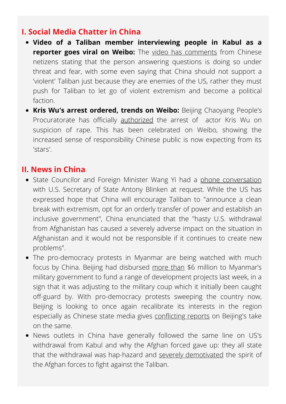#### **I. Social Media Chatter in China**

- **Video of a Taliban member interviewing people in Kabul as a reporter goes viral on Weibo:** The video has [comments](https://s.weibo.com/weibo?q=%E5%A1%94%E5%88%A9%E7%8F%AD%E6%89%AE%E6%BC%94%E8%AE%B0%E8%80%85%E8%A1%97%E5%A4%B4%E9%87%87%E8%AE%BF%E6%B0%91%E4%BC%97&Refer=top#_loginLayer_1629249474411) from Chinese netizens stating that the person answering questions is doing so under threat and fear, with some even saying that China should not support a 'violent' Taliban just because they are enemies of the US, rather they must push for Taliban to let go of violent extremism and become a political faction.
- **Kris Wu's arrest ordered, trends on Weibo:** Beijing Chaoyang People's Procuratorate has officially [authorized](https://twitter.com/TrendingWeibo/status/1427256421045911557) the arrest of actor [Kris](https://twitter.com/hashtag/KrisWu?src=hashtag_click) Wu on suspicion of rape. This has been celebrated on Weibo, showing the increased sense of responsibility Chinese public is now expecting from its 'stars'.

#### **II. News in China**

- State Councilor and Foreign Minister Wang Yi had a phone [conversation](https://www.fmprc.gov.cn/mfa_eng/zxxx_662805/t1899942.shtml) with U.S. Secretary of State Antony Blinken at request. While the US has expressed hope that China will encourage Taliban to "announce a clean break with extremism, opt for an orderly transfer of power and establish an inclusive government", China enunciated that the "hasty U.S. withdrawal from Afghanistan has caused a severely adverse impact on the situation in Afghanistan and it would not be responsible if it continues to create new problems".
- The pro-democracy protests in Myanmar are being watched with much focus by China. Beijing had disbursed [more](http://www.xinhuanet.com/english/asiapacific/2021-08/10/c_1310119753.htm) than \$6 million to Myanmar's military government to fund a range of development projects last week, in a sign that it was adjusting to the military coup which it initially been caught off-guard by. With pro-democracy protests sweeping the country now, Beijing is looking to once again recalibrate its interests in the region especially as Chinese state media gives [conflicting](https://thediplomat.com/2021/08/chinese-medias-conflicting-narratives-on-the-myanmar-coup/) reports on Beijing's take on the same.
- News outlets in China have generally followed the same line on US's withdrawal from Kabul and why the Afghan forced gave up: they all state that the withdrawal was hap-hazard and severely [demotivated](http://mil.ifeng.com/c/88kCXd2tmOT) the spirit of the Afghan forces to fight against the Taliban.